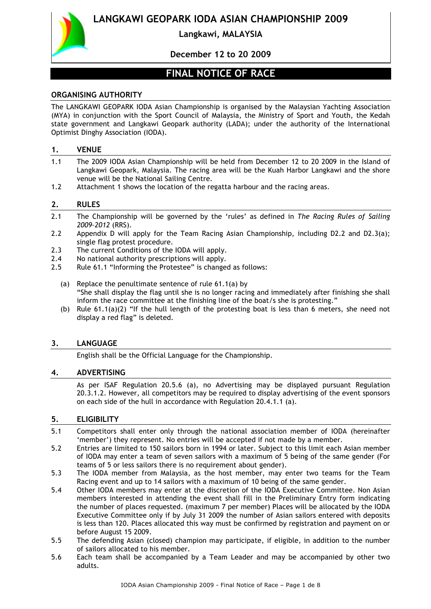

**Langkawi, MALAYSIA**

# **December 12 to 20 2009**

# **FINAL NOTICE OF RACE**

## **ORGANISING AUTHORITY**

The LANGKAWI GEOPARK IODA Asian Championship is organised by the Malaysian Yachting Association (MYA) in conjunction with the Sport Council of Malaysia, the Ministry of Sport and Youth, the Kedah state government and Langkawi Geopark authority (LADA); under the authority of the International Optimist Dinghy Association (IODA).

#### **1. VENUE**

- 1.1 The 2009 IODA Asian Championship will be held from December 12 to 20 2009 in the Island of Langkawi Geopark, Malaysia. The racing area will be the Kuah Harbor Langkawi and the shore venue will be the National Sailing Centre.
- 1.2 Attachment 1 shows the location of the regatta harbour and the racing areas.

#### **2. RULES**

- 2.1 The Championship will be governed by the 'rules' as defined in *The Racing Rules of Sailing 2009–2012* (RRS).
- 2.2 Appendix D will apply for the Team Racing Asian Championship, including D2.2 and D2.3(a); single flag protest procedure.
- 2.3 The current Conditions of the IODA will apply.
- 2.4 No national authority prescriptions will apply.
- 2.5 Rule 61.1 "Informing the Protestee" is changed as follows:
	- (a) Replace the penultimate sentence of rule 61.1(a) by "She shall display the flag until she is no longer racing and immediately after finishing she shall inform the race committee at the finishing line of the boat/s she is protesting."
	- (b) Rule  $61.1(a)(2)$  "If the hull length of the protesting boat is less than 6 meters, she need not display a red flag" is deleted.

#### **3. LANGUAGE**

English shall be the Official Language for the Championship.

#### **4. ADVERTISING**

As per ISAF Regulation 20.5.6 (a), no Advertising may be displayed pursuant Regulation 20.3.1.2. However, all competitors may be required to display advertising of the event sponsors on each side of the hull in accordance with Regulation 20.4.1.1 (a).

## **5. ELIGIBILITY**

- 5.1 Competitors shall enter only through the national association member of IODA (hereinafter 'member') they represent. No entries will be accepted if not made by a member.
- 5.2 Entries are limited to 150 sailors born in 1994 or later. Subject to this limit each Asian member of IODA may enter a team of seven sailors with a maximum of 5 being of the same gender (For teams of 5 or less sailors there is no requirement about gender).
- 5.3 The IODA member from Malaysia, as the host member, may enter two teams for the Team Racing event and up to 14 sailors with a maximum of 10 being of the same gender.
- 5.4 Other IODA members may enter at the discretion of the IODA Executive Committee. Non Asian members interested in attending the event shall fill in the Preliminary Entry form indicating the number of places requested. (maximum 7 per member) Places will be allocated by the IODA Executive Committee only if by July 31 2009 the number of Asian sailors entered with deposits is less than 120. Places allocated this way must be confirmed by registration and payment on or before August 15 2009.
- 5.5 The defending Asian (closed) champion may participate, if eligible, in addition to the number of sailors allocated to his member.
- 5.6 Each team shall be accompanied by a Team Leader and may be accompanied by other two adults.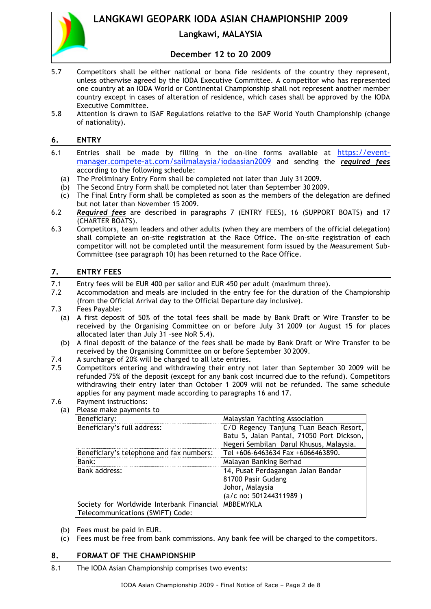

# **Langkawi, MALAYSIA**

## **December 12 to 20 2009**

- 5.7 Competitors shall be either national or bona fide residents of the country they represent, unless otherwise agreed by the IODA Executive Committee. A competitor who has represented one country at an IODA World or Continental Championship shall not represent another member country except in cases of alteration of residence, which cases shall be approved by the IODA Executive Committee.
- 5.8 Attention is drawn to ISAF Regulations relative to the ISAF World Youth Championship (change of nationality).

## **6. ENTRY**

- 6.1 Entries shall be made by filling in the on-line forms available at https://eventmanager.compete-at.com/sailmalaysia/iodaasian2009 and sending the *required fees* according to the following schedule:
	- (a) The Preliminary Entry Form shall be completed not later than July 31 2009.
	- (b) The Second Entry Form shall be completed not later than September 30 2009.
	- (c) The Final Entry Form shall be completed as soon as the members of the delegation are defined but not later than November 15 2009.
- 6.2 *Required fees* are described in paragraphs 7 (ENTRY FEES), 16 (SUPPORT BOATS) and 17 (CHARTER BOATS).
- 6.3 Competitors, team leaders and other adults (when they are members of the official delegation) shall complete an on-site registration at the Race Office. The on-site registration of each competitor will not be completed until the measurement form issued by the Measurement Sub-Committee (see paragraph 10) has been returned to the Race Office.

# **7. ENTRY FEES**

- 7.1 Entry fees will be EUR 400 per sailor and EUR 450 per adult (maximum three).
- 7.2 Accommodation and meals are included in the entry fee for the duration of the Championship (from the Official Arrival day to the Official Departure day inclusive).
- 7.3 Fees Payable:
	- (a) A first deposit of 50% of the total fees shall be made by Bank Draft or Wire Transfer to be received by the Organising Committee on or before July 31 2009 (or August 15 for places allocated later than July 31 –see NoR 5.4).
	- (b) A final deposit of the balance of the fees shall be made by Bank Draft or Wire Transfer to be received by the Organising Committee on or before September 30 2009.
- 7.4 A surcharge of 20% will be charged to all late entries.
- 7.5 Competitors entering and withdrawing their entry not later than September 30 2009 will be refunded 75% of the deposit (except for any bank cost incurred due to the refund). Competitors withdrawing their entry later than October 1 2009 will not be refunded. The same schedule applies for any payment made according to paragraphs 16 and 17.
- 7.6 Payment instructions:
	- (a) Please make payments to

| Beneficiary:                                          | Malaysian Yachting Association            |  |  |
|-------------------------------------------------------|-------------------------------------------|--|--|
| Beneficiary's full address:                           | C/O Regency Tanjung Tuan Beach Resort,    |  |  |
|                                                       | Batu 5, Jalan Pantai, 71050 Port Dickson, |  |  |
|                                                       | Negeri Sembilan Darul Khusus, Malaysia.   |  |  |
| Beneficiary's telephone and fax numbers:              | Tel +606-6463634 Fax +6066463890.         |  |  |
| Bank:                                                 | Malayan Banking Berhad                    |  |  |
| Bank address:                                         | 14, Pusat Perdagangan Jalan Bandar        |  |  |
|                                                       | 81700 Pasir Gudang                        |  |  |
|                                                       | Johor, Malaysia                           |  |  |
|                                                       | (a/c no: 501244311989)                    |  |  |
| Society for Worldwide Interbank Financial   MBBEMYKLA |                                           |  |  |
| Telecommunications (SWIFT) Code:                      |                                           |  |  |

- (b) Fees must be paid in EUR.
- (c) Fees must be free from bank commissions. Any bank fee will be charged to the competitors.

#### **8. FORMAT OF THE CHAMPIONSHIP**

8.1 The IODA Asian Championship comprises two events: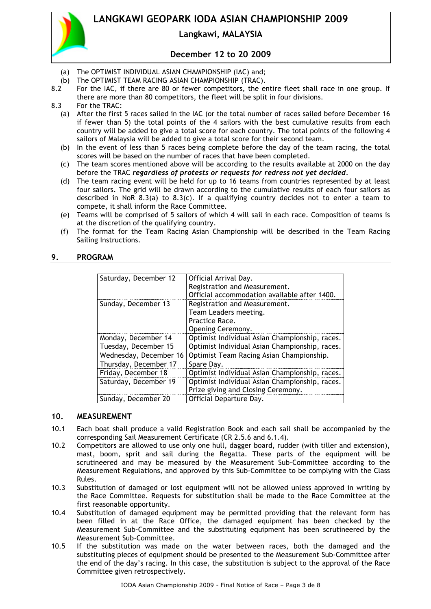

## **Langkawi, MALAYSIA**

## **December 12 to 20 2009**

- (a) The OPTIMIST INDIVIDUAL ASIAN CHAMPIONSHIP (IAC) and;
- (b) The OPTIMIST TEAM RACING ASIAN CHAMPIONSHIP (TRAC).
- 8.2 For the IAC, if there are 80 or fewer competitors, the entire fleet shall race in one group. If there are more than 80 competitors, the fleet will be split in four divisions.

8.3 For the TRAC:

- (a) After the first 5 races sailed in the IAC (or the total number of races sailed before December 16 if fewer than 5) the total points of the 4 sailors with the best cumulative results from each country will be added to give a total score for each country. The total points of the following 4 sailors of Malaysia will be added to give a total score for their second team.
- (b) In the event of less than 5 races being complete before the day of the team racing, the total scores will be based on the number of races that have been completed.
- (c) The team scores mentioned above will be according to the results available at 2000 on the day before the TRAC *regardless of protests or requests for redress not yet decided*.
- (d) The team racing event will be held for up to 16 teams from countries represented by at least four sailors. The grid will be drawn according to the cumulative results of each four sailors as described in NoR 8.3(a) to 8.3(c). If a qualifying country decides not to enter a team to compete, it shall inform the Race Committee.
- (e) Teams will be comprised of 5 sailors of which 4 will sail in each race. Composition of teams is at the discretion of the qualifying country.
- (f) The format for the Team Racing Asian Championship will be described in the Team Racing Sailing Instructions.

|  | 9. | <b>PROGRAM</b> |
|--|----|----------------|
|--|----|----------------|

| Saturday, December 12  | Official Arrival Day.                          |  |
|------------------------|------------------------------------------------|--|
|                        | Registration and Measurement.                  |  |
|                        | Official accommodation available after 1400.   |  |
| Sunday, December 13    | Registration and Measurement.                  |  |
|                        | Team Leaders meeting.                          |  |
|                        | Practice Race.                                 |  |
|                        | Opening Ceremony.                              |  |
| Monday, December 14    | Optimist Individual Asian Championship, races. |  |
| Tuesday, December 15   | Optimist Individual Asian Championship, races. |  |
| Wednesday, December 16 | Optimist Team Racing Asian Championship.       |  |
| Thursday, December 17  | Spare Day.                                     |  |
| Friday, December 18    | Optimist Individual Asian Championship, races. |  |
| Saturday, December 19  | Optimist Individual Asian Championship, races. |  |
|                        | Prize giving and Closing Ceremony.             |  |
| Sunday, December 20    | Official Departure Day.                        |  |

#### **10. MEASUREMENT**

- 10.1 Each boat shall produce a valid Registration Book and each sail shall be accompanied by the corresponding Sail Measurement Certificate (CR 2.5.6 and 6.1.4).
- 10.2 Competitors are allowed to use only one hull, dagger board, rudder (with tiller and extension), mast, boom, sprit and sail during the Regatta. These parts of the equipment will be scrutineered and may be measured by the Measurement Sub-Committee according to the Measurement Regulations, and approved by this Sub-Committee to be complying with the Class Rules.
- 10.3 Substitution of damaged or lost equipment will not be allowed unless approved in writing by the Race Committee. Requests for substitution shall be made to the Race Committee at the first reasonable opportunity.
- 10.4 Substitution of damaged equipment may be permitted providing that the relevant form has been filled in at the Race Office, the damaged equipment has been checked by the Measurement Sub-Committee and the substituting equipment has been scrutineered by the Measurement Sub-Committee.
- 10.5 If the substitution was made on the water between races, both the damaged and the substituting pieces of equipment should be presented to the Measurement Sub-Committee after the end of the day's racing. In this case, the substitution is subject to the approval of the Race Committee given retrospectively.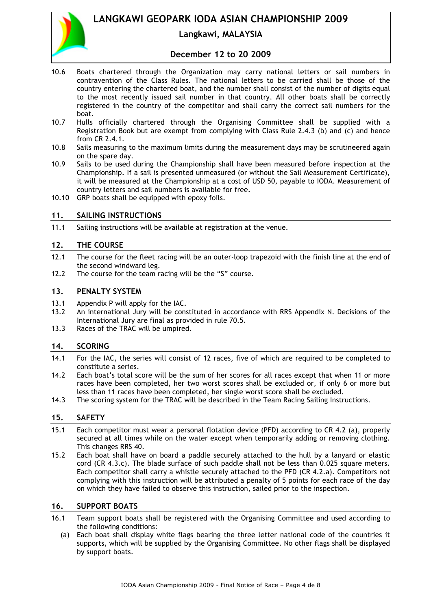

# **Langkawi, MALAYSIA**

## **December 12 to 20 2009**

- 10.6 Boats chartered through the Organization may carry national letters or sail numbers in contravention of the Class Rules. The national letters to be carried shall be those of the country entering the chartered boat, and the number shall consist of the number of digits equal to the most recently issued sail number in that country. All other boats shall be correctly registered in the country of the competitor and shall carry the correct sail numbers for the boat.
- 10.7 Hulls officially chartered through the Organising Committee shall be supplied with a Registration Book but are exempt from complying with Class Rule 2.4.3 (b) and (c) and hence from CR 2.4.1.
- 10.8 Sails measuring to the maximum limits during the measurement days may be scrutineered again on the spare day.
- 10.9 Sails to be used during the Championship shall have been measured before inspection at the Championship. If a sail is presented unmeasured (or without the Sail Measurement Certificate), it will be measured at the Championship at a cost of USD 50, payable to IODA. Measurement of country letters and sail numbers is available for free.
- 10.10 GRP boats shall be equipped with epoxy foils.

#### **11. SAILING INSTRUCTIONS**

11.1 Sailing instructions will be available at registration at the venue.

#### **12. THE COURSE**

- 12.1 The course for the fleet racing will be an outer-loop trapezoid with the finish line at the end of the second windward leg.
- 12.2 The course for the team racing will be the "S" course.

#### **13. PENALTY SYSTEM**

- 13.1 Appendix P will apply for the IAC.
- 13.2 An international Jury will be constituted in accordance with RRS Appendix N. Decisions of the International Jury are final as provided in rule 70.5.
- 13.3 Races of the TRAC will be umpired.

#### **14. SCORING**

- 14.1 For the IAC, the series will consist of 12 races, five of which are required to be completed to constitute a series.
- 14.2 Each boat's total score will be the sum of her scores for all races except that when 11 or more races have been completed, her two worst scores shall be excluded or, if only 6 or more but less than 11 races have been completed, her single worst score shall be excluded.
- 14.3 The scoring system for the TRAC will be described in the Team Racing Sailing Instructions.

## **15. SAFETY**

- 15.1 Each competitor must wear a personal flotation device (PFD) according to CR 4.2 (a), properly secured at all times while on the water except when temporarily adding or removing clothing. This changes RRS 40.
- 15.2 Each boat shall have on board a paddle securely attached to the hull by a lanyard or elastic cord (CR 4.3.c). The blade surface of such paddle shall not be less than 0.025 square meters. Each competitor shall carry a whistle securely attached to the PFD (CR 4.2.a). Competitors not complying with this instruction will be attributed a penalty of 5 points for each race of the day on which they have failed to observe this instruction, sailed prior to the inspection.

## **16. SUPPORT BOATS**

- 16.1 Team support boats shall be registered with the Organising Committee and used according to the following conditions:
	- (a) Each boat shall display white flags bearing the three letter national code of the countries it supports, which will be supplied by the Organising Committee. No other flags shall be displayed by support boats.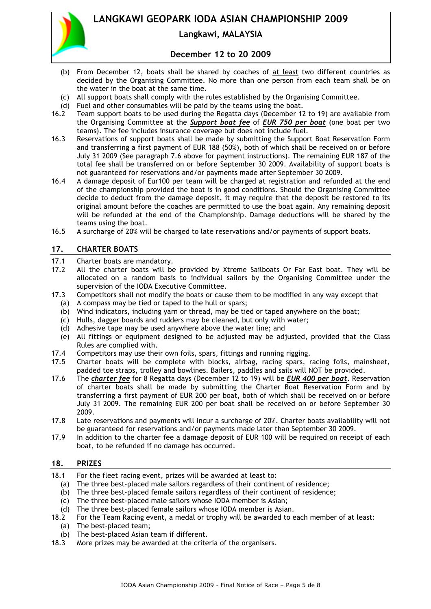

# **Langkawi, MALAYSIA**

## **December 12 to 20 2009**

- (b) From December 12, boats shall be shared by coaches of at least two different countries as decided by the Organising Committee. No more than one person from each team shall be on the water in the boat at the same time.
- (c) All support boats shall comply with the rules established by the Organising Committee.
- (d) Fuel and other consumables will be paid by the teams using the boat.
- 16.2 Team support boats to be used during the Regatta days (December 12 to 19) are available from the Organising Committee at the *Support boat fee* of *EUR 750 per boat* (one boat per two teams). The fee includes insurance coverage but does not include fuel.
- 16.3 Reservations of support boats shall be made by submitting the Support Boat Reservation Form and transferring a first payment of EUR 188 (50%), both of which shall be received on or before July 31 2009 (See paragraph 7.6 above for payment instructions). The remaining EUR 187 of the total fee shall be transferred on or before September 30 2009. Availability of support boats is not guaranteed for reservations and/or payments made after September 30 2009.
- 16.4 A damage deposit of Eur100 per team will be charged at registration and refunded at the end of the championship provided the boat is in good conditions. Should the Organising Committee decide to deduct from the damage deposit, it may require that the deposit be restored to its original amount before the coaches are permitted to use the boat again. Any remaining deposit will be refunded at the end of the Championship. Damage deductions will be shared by the teams using the boat.
- 16.5 A surcharge of 20% will be charged to late reservations and/or payments of support boats.

## **17. CHARTER BOATS**

- 17.1 Charter boats are mandatory.
- 17.2 All the charter boats will be provided by Xtreme Sailboats Or Far East boat. They will be allocated on a random basis to individual sailors by the Organising Committee under the supervision of the IODA Executive Committee.
- 17.3 Competitors shall not modify the boats or cause them to be modified in any way except that
	- (a) A compass may be tied or taped to the hull or spars;
	- (b) Wind indicators, including yarn or thread, may be tied or taped anywhere on the boat;
	- (c) Hulls, dagger boards and rudders may be cleaned, but only with water;
	- (d) Adhesive tape may be used anywhere above the water line; and
	- (e) All fittings or equipment designed to be adjusted may be adjusted, provided that the Class Rules are complied with.
- 17.4 Competitors may use their own foils, spars, fittings and running rigging.<br>17.5 Charter boats will be complete with blocks, airbag, racing spars, r
- Charter boats will be complete with blocks, airbag, racing spars, racing foils, mainsheet, padded toe straps, trolley and bowlines. Bailers, paddles and sails will NOT be provided.
- 17.6 The *charter fee* for 8 Regatta days (December 12 to 19) will be *EUR 400 per boat*. Reservation of charter boats shall be made by submitting the Charter Boat Reservation Form and by transferring a first payment of EUR 200 per boat, both of which shall be received on or before July 31 2009. The remaining EUR 200 per boat shall be received on or before September 30 2009.
- 17.8 Late reservations and payments will incur a surcharge of 20%. Charter boats availability will not be guaranteed for reservations and/or payments made later than September 30 2009.
- 17.9 In addition to the charter fee a damage deposit of EUR 100 will be required on receipt of each boat, to be refunded if no damage has occurred.

## **18. PRIZES**

- 18.1 For the fleet racing event, prizes will be awarded at least to:
	- (a) The three best-placed male sailors regardless of their continent of residence;
	- (b) The three best-placed female sailors regardless of their continent of residence;
	- (c) The three best-placed male sailors whose IODA member is Asian;
	- (d) The three best-placed female sailors whose IODA member is Asian.
- 18.2 For the Team Racing event, a medal or trophy will be awarded to each member of at least:
	- (a) The best-placed team;
	- (b) The best-placed Asian team if different.
- 18.3 More prizes may be awarded at the criteria of the organisers.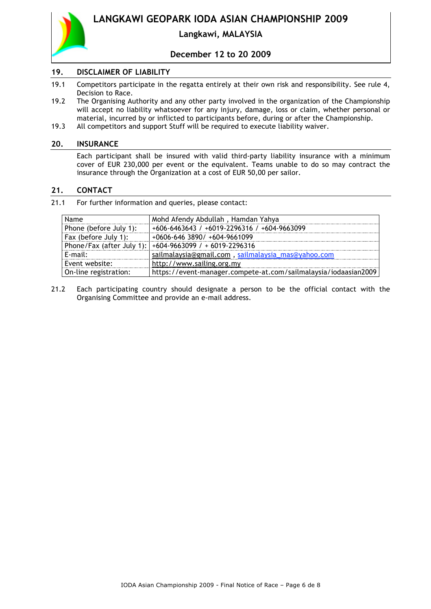

# **Langkawi, MALAYSIA**

## **December 12 to 20 2009**

## **19. DISCLAIMER OF LIABILITY**

- 19.1 Competitors participate in the regatta entirely at their own risk and responsibility. See rule 4, Decision to Race.
- 19.2 The Organising Authority and any other party involved in the organization of the Championship will accept no liability whatsoever for any injury, damage, loss or claim, whether personal or material, incurred by or inflicted to participants before, during or after the Championship.
- 19.3 All competitors and support Stuff will be required to execute liability waiver.

#### **20. INSURANCE**

Each participant shall be insured with valid third-party liability insurance with a minimum cover of EUR 230,000 per event or the equivalent. Teams unable to do so may contract the insurance through the Organization at a cost of EUR 50,00 per sailor.

#### **21. CONTACT**

21.1 For further information and queries, please contact:

| Name                   | Mohd Afendy Abdullah, Hamdan Yahya                              |
|------------------------|-----------------------------------------------------------------|
| Phone (before July 1): | +606-6463643 / +6019-2296316 / +604-9663099                     |
| Fax (before July 1):   | $+0606 - 646$ 3890/ $+604 - 9661099$                            |
|                        | Phone/Fax (after July 1): $ +604-9663099$ / + 6019-2296316      |
| $E$ -mail:             | sailmalaysia@gmail.com, sailmalaysia_mas@yahoo.com              |
| Event website:         | http://www.sailing.org.my                                       |
| On-line registration:  | https://event-manager.compete-at.com/sailmalaysia/iodaasian2009 |

21.2 Each participating country should designate a person to be the official contact with the Organising Committee and provide an e-mail address.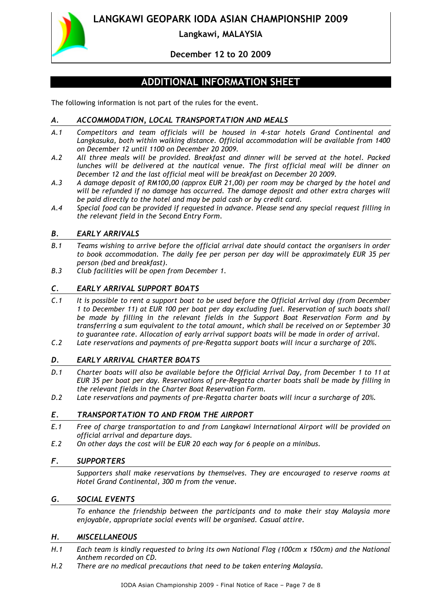

# **Langkawi, MALAYSIA**

# **December 12 to 20 2009**

# **ADDITIONAL INFORMATION SHEET**

The following information is not part of the rules for the event.

## *A. ACCOMMODATION, LOCAL TRANSPORTATION AND MEALS*

- *A.1 Competitors and team officials will be housed in 4-star hotels Grand Continental and Langkasuka, both within walking distance. Official accommodation will be available from 1400 on December 12 until 1100 on December 20 2009.*
- *A.2 All three meals will be provided. Breakfast and dinner will be served at the hotel. Packed lunches will be delivered at the nautical venue. The first official meal will be dinner on December 12 and the last official meal will be breakfast on December 20 2009.*
- *A.3 A damage deposit of RM100,00 (approx EUR 21,00) per room may be charged by the hotel and will be refunded if no damage has occurred. The damage deposit and other extra charges will be paid directly to the hotel and may be paid cash or by credit card.*
- *A.4 Special food can be provided if requested in advance. Please send any special request filling in the relevant field in the Second Entry Form.*

## *B. EARLY ARRIVALS*

- *B.1 Teams wishing to arrive before the official arrival date should contact the organisers in order to book accommodation. The daily fee per person per day will be approximately EUR 35 per person (bed and breakfast).*
- *B.3 Club facilities will be open from December 1.*

## *C. EARLY ARRIVAL SUPPORT BOATS*

- *C.1 It is possible to rent a support boat to be used before the Official Arrival day (from December 1 to December 11) at EUR 100 per boat per day excluding fuel. Reservation of such boats shall be made by filling in the relevant fields in the Support Boat Reservation Form and by transferring a sum equivalent to the total amount, which shall be received on or September 30 to guarantee rate. Allocation of early arrival support boats will be made in order of arrival.*
- *C.2 Late reservations and payments of pre-Regatta support boats will incur a surcharge of 20%.*

## *D. EARLY ARRIVAL CHARTER BOATS*

- *D.1 Charter boats will also be available before the Official Arrival Day, from December 1 to 11 at EUR 35 per boat per day. Reservations of pre-Regatta charter boats shall be made by filling in the relevant fields in the Charter Boat Reservation Form.*
- *D.2 Late reservations and payments of pre-Regatta charter boats will incur a surcharge of 20%.*

## *E. TRANSPORTATION TO AND FROM THE AIRPORT*

- *E.1 Free of charge transportation to and from Langkawi International Airport will be provided on official arrival and departure days.*
- *E.2 On other days the cost will be EUR 20 each way for 6 people on a minibus.*

#### *F. SUPPORTERS*

*Supporters shall make reservations by themselves. They are encouraged to reserve rooms at Hotel Grand Continental, 300 m from the venue.*

#### *G. SOCIAL EVENTS*

*To enhance the friendship between the participants and to make their stay Malaysia more enjoyable, appropriate social events will be organised. Casual attire.*

#### *H. MISCELLANEOUS*

- *H.1 Each team is kindly requested to bring its own National Flag (100cm x 150cm) and the National Anthem recorded on CD.*
- *H.2 There are no medical precautions that need to be taken entering Malaysia.*